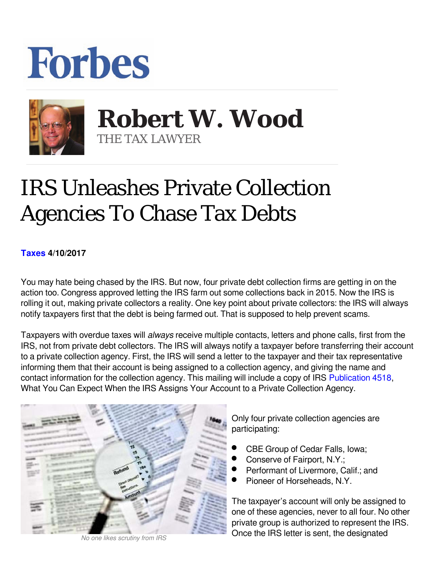## **Forbes**



**Robert W. Wood Robert W. Wood** THE TAX LAWYER THE TAX LAWYER

## IRS Unleashes Private Collection Agencies To Chase Tax Debts

## **[Taxes](https://www.forbes.com/taxes) 4/10/2017**

You may hate being chased by the IRS. But now, four private debt collection firms are getting in on the action too. Congress approved letting the IRS farm out some collections back in 2015. Now the IRS is rolling it out, making private collectors a reality. One key point about private collectors: the IRS will always notify taxpayers first that the debt is being farmed out. That is supposed to help prevent scams.

Taxpayers with overdue taxes will *always* receive multiple contacts, letters and phone calls, first from the IRS, not from private debt collectors. The IRS will always notify a taxpayer before transferring their account to a private collection agency. First, the IRS will send a letter to the taxpayer and their tax representative informing them that their account is being assigned to a collection agency, and giving the name and contact information for the collection agency. This mailing will include a copy of IRS [Publication 4518,](http://links.govdelivery.com:80/track?type=click&enid=ZWFzPTEmbWFpbGluZ2lkPTIwMTcwNDA0LjcxOTExMzIxJm1lc3NhZ2VpZD1NREItUFJELUJVTC0yMDE3MDQwNC43MTkxMTMyMSZkYXRhYmFzZWlkPTEwMDEmc2VyaWFsPTE3MTMxNDI3JmVtYWlsaWQ9d29vZEB3b29kbGxwLmNvbSZ1c2VyaWQ9d29vZEB3b29kbGxwLmNvbSZmbD0mZXh0cmE9TXVsdGl2YXJpYXRlSWQ9JiYm&&&128&&&https://www.irs.gov/pub/irs-pdf/p4518.pdf) What You Can Expect When the IRS Assigns Your Account to a Private Collection Agency.



*No one likes scrutiny from IRS*

Only four private collection agencies are participating:

- CBE Group of Cedar Falls, Iowa;
- Conserve of Fairport, N.Y.;
- Performant of Livermore, Calif.; and
- Pioneer of Horseheads, N.Y.

The taxpayer's account will only be assigned to one of these agencies, never to all four. No other private group is authorized to represent the IRS. Once the IRS letter is sent, the designated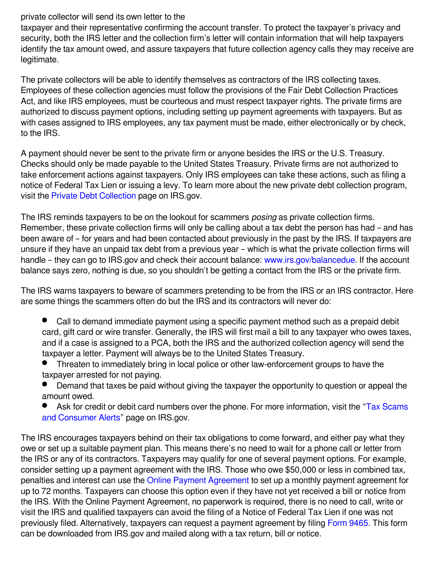## private collector will send its own letter to the

taxpayer and their representative confirming the account transfer. To protect the taxpayer's privacy and security, both the IRS letter and the collection firm's letter will contain information that will help taxpayers identify the tax amount owed, and assure taxpayers that future collection agency calls they may receive are legitimate.

The private collectors will be able to identify themselves as contractors of the IRS collecting taxes. Employees of these collection agencies must follow the provisions of the Fair Debt Collection Practices Act, and like IRS employees, must be courteous and must respect taxpayer rights. The private firms are authorized to discuss payment options, including setting up payment agreements with taxpayers. But as with cases assigned to IRS employees, any tax payment must be made, either electronically or by check, to the IRS.

A payment should never be sent to the private firm or anyone besides the IRS or the U.S. Treasury. Checks should only be made payable to the United States Treasury. Private firms are not authorized to take enforcement actions against taxpayers. Only IRS employees can take these actions, such as filing a notice of Federal Tax Lien or issuing a levy. To learn more about the new private debt collection program, visit the [Private Debt Collection](http://links.govdelivery.com:80/track?type=click&enid=ZWFzPTEmbWFpbGluZ2lkPTIwMTcwNDA0LjcxOTExMzIxJm1lc3NhZ2VpZD1NREItUFJELUJVTC0yMDE3MDQwNC43MTkxMTMyMSZkYXRhYmFzZWlkPTEwMDEmc2VyaWFsPTE3MTMxNDI3JmVtYWlsaWQ9d29vZEB3b29kbGxwLmNvbSZ1c2VyaWQ9d29vZEB3b29kbGxwLmNvbSZmbD0mZXh0cmE9TXVsdGl2YXJpYXRlSWQ9JiYm&&&129&&&https://www.irs.gov/businesses/small-businesses-self-employed/private-debt-collection) page on IRS.gov.

The IRS reminds taxpayers to be on the lookout for scammers *posing* as private collection firms. Remember, these private collection firms will only be calling about a tax debt the person has had – and has been aware of – for years and had been contacted about previously in the past by the IRS. If taxpayers are unsure if they have an unpaid tax debt from a previous year – which is what the private collection firms will handle – they can go to IRS.gov and check their account balance: [www.irs.gov/balancedue.](http://links.govdelivery.com:80/track?type=click&enid=ZWFzPTEmbWFpbGluZ2lkPTIwMTcwNDA0LjcxOTExMzIxJm1lc3NhZ2VpZD1NREItUFJELUJVTC0yMDE3MDQwNC43MTkxMTMyMSZkYXRhYmFzZWlkPTEwMDEmc2VyaWFsPTE3MTMxNDI3JmVtYWlsaWQ9d29vZEB3b29kbGxwLmNvbSZ1c2VyaWQ9d29vZEB3b29kbGxwLmNvbSZmbD0mZXh0cmE9TXVsdGl2YXJpYXRlSWQ9JiYm&&&130&&&http://www.irs.gov/balancedue) If the account balance says zero, nothing is due, so you shouldn't be getting a contact from the IRS or the private firm.

The IRS warns taxpayers to beware of scammers pretending to be from the IRS or an IRS contractor. Here are some things the scammers often do but the IRS and its contractors will never do:

- $\bullet$ Call to demand immediate payment using a specific payment method such as a prepaid debit card, gift card or wire transfer. Generally, the IRS will first mail a bill to any taxpayer who owes taxes, and if a case is assigned to a PCA, both the IRS and the authorized collection agency will send the taxpayer a letter. Payment will always be to the United States Treasury.
- Threaten to immediately bring in local police or other law-enforcement groups to have the taxpayer arrested for not paying.
- Demand that taxes be paid without giving the taxpayer the opportunity to question or appeal the amount owed.
- Ask for credit or debit card numbers over the phone. For more information, visit the "[Tax Scams](http://links.govdelivery.com:80/track?type=click&enid=ZWFzPTEmbWFpbGluZ2lkPTIwMTcwNDA0LjcxOTExMzIxJm1lc3NhZ2VpZD1NREItUFJELUJVTC0yMDE3MDQwNC43MTkxMTMyMSZkYXRhYmFzZWlkPTEwMDEmc2VyaWFsPTE3MTMxNDI3JmVtYWlsaWQ9d29vZEB3b29kbGxwLmNvbSZ1c2VyaWQ9d29vZEB3b29kbGxwLmNvbSZmbD0mZXh0cmE9TXVsdGl2YXJpYXRlSWQ9JiYm&&&131&&&https://www.irs.gov/uac/tax-scams-consumer-alerts)" [and Consumer Alerts](http://links.govdelivery.com:80/track?type=click&enid=ZWFzPTEmbWFpbGluZ2lkPTIwMTcwNDA0LjcxOTExMzIxJm1lc3NhZ2VpZD1NREItUFJELUJVTC0yMDE3MDQwNC43MTkxMTMyMSZkYXRhYmFzZWlkPTEwMDEmc2VyaWFsPTE3MTMxNDI3JmVtYWlsaWQ9d29vZEB3b29kbGxwLmNvbSZ1c2VyaWQ9d29vZEB3b29kbGxwLmNvbSZmbD0mZXh0cmE9TXVsdGl2YXJpYXRlSWQ9JiYm&&&131&&&https://www.irs.gov/uac/tax-scams-consumer-alerts)" page on IRS.gov.

The IRS encourages taxpayers behind on their tax obligations to come forward, and either pay what they owe or set up a suitable payment plan. This means there's no need to wait for a phone call or letter from the IRS or any of its contractors. Taxpayers may qualify for one of several payment options. For example, consider setting up a payment agreement with the IRS. Those who owe \$50,000 or less in combined tax, penalties and interest can use the [Online Payment Agreement](http://links.govdelivery.com:80/track?type=click&enid=ZWFzPTEmbWFpbGluZ2lkPTIwMTcwNDA0LjcxOTExMzIxJm1lc3NhZ2VpZD1NREItUFJELUJVTC0yMDE3MDQwNC43MTkxMTMyMSZkYXRhYmFzZWlkPTEwMDEmc2VyaWFsPTE3MTMxNDI3JmVtYWlsaWQ9d29vZEB3b29kbGxwLmNvbSZ1c2VyaWQ9d29vZEB3b29kbGxwLmNvbSZmbD0mZXh0cmE9TXVsdGl2YXJpYXRlSWQ9JiYm&&&132&&&https://www.irs.gov/individuals/online-payment-agreement-application) to set up a monthly payment agreement for up to 72 months. Taxpayers can choose this option even if they have not yet received a bill or notice from the IRS. With the Online Payment Agreement, no paperwork is required, there is no need to call, write or visit the IRS and qualified taxpayers can avoid the filing of a Notice of Federal Tax Lien if one was not previously filed. Alternatively, taxpayers can request a payment agreement by filing [Form 9465](http://links.govdelivery.com:80/track?type=click&enid=ZWFzPTEmbWFpbGluZ2lkPTIwMTcwNDA0LjcxOTExMzIxJm1lc3NhZ2VpZD1NREItUFJELUJVTC0yMDE3MDQwNC43MTkxMTMyMSZkYXRhYmFzZWlkPTEwMDEmc2VyaWFsPTE3MTMxNDI3JmVtYWlsaWQ9d29vZEB3b29kbGxwLmNvbSZ1c2VyaWQ9d29vZEB3b29kbGxwLmNvbSZmbD0mZXh0cmE9TXVsdGl2YXJpYXRlSWQ9JiYm&&&133&&&https://www.irs.gov/uac/about-form-9465). This form can be downloaded from IRS.gov and mailed along with a tax return, bill or notice.